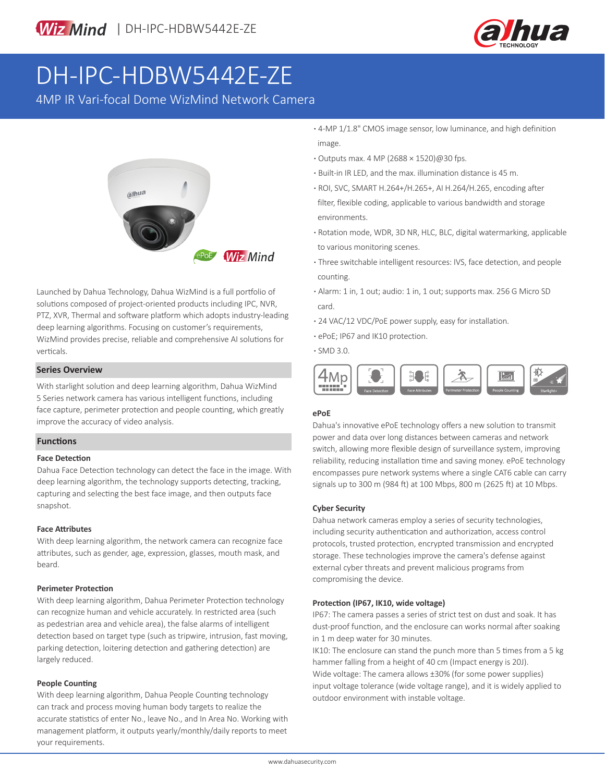

## DH-IPC-HDBW5442E-ZE

4MP IR Vari-focal Dome WizMind Network Camera



Launched by Dahua Technology, Dahua WizMind is a full portfolio of solutions composed of project-oriented products including IPC, NVR, PTZ, XVR, Thermal and software platform which adopts industry-leading deep learning algorithms. Focusing on customer's requirements, WizMind provides precise, reliable and comprehensive AI solutions for verticals.

#### **Series Overview**

With starlight solution and deep learning algorithm, Dahua WizMind 5 Series network camera has various intelligent functions, including face capture, perimeter protection and people counting, which greatly improve the accuracy of video analysis.

#### **Functions**

#### **Face Detection**

Dahua Face Detection technology can detect the face in the image. With deep learning algorithm, the technology supports detecting, tracking, capturing and selecting the best face image, and then outputs face snapshot.

#### **Face Attributes**

With deep learning algorithm, the network camera can recognize face attributes, such as gender, age, expression, glasses, mouth mask, and beard.

#### **Perimeter Protection**

With deep learning algorithm, Dahua Perimeter Protection technology can recognize human and vehicle accurately. In restricted area (such as pedestrian area and vehicle area), the false alarms of intelligent detection based on target type (such as tripwire, intrusion, fast moving, parking detection, loitering detection and gathering detection) are largely reduced.

#### **People Counting**

With deep learning algorithm, Dahua People Counting technology can track and process moving human body targets to realize the accurate statistics of enter No., leave No., and In Area No. Working with management platform, it outputs yearly/monthly/daily reports to meet your requirements.

**·** 4-MP 1/1.8" CMOS image sensor, low luminance, and high definition image.

- **·** Outputs max. 4 MP (2688 × 1520)@30 fps.
- **·** Built-in IR LED, and the max. illumination distance is 45 m.
- **·** ROI, SVC, SMART H.264+/H.265+, AI H.264/H.265, encoding after filter, flexible coding, applicable to various bandwidth and storage environments.
- **·** Rotation mode, WDR, 3D NR, HLC, BLC, digital watermarking, applicable to various monitoring scenes.
- **·** Three switchable intelligent resources: IVS, face detection, and people counting.
- **·** Alarm: 1 in, 1 out; audio: 1 in, 1 out; supports max. 256 G Micro SD card.
- **·** 24 VAC/12 VDC/PoE power supply, easy for installation.
- **·** ePoE; IP67 and IK10 protection.
- **·** SMD 3.0.



#### **ePoE**

Dahua's innovative ePoE technology offers a new solution to transmit power and data over long distances between cameras and network switch, allowing more flexible design of surveillance system, improving reliability, reducing installation time and saving money. ePoE technology encompasses pure network systems where a single CAT6 cable can carry signals up to 300 m (984 ft) at 100 Mbps, 800 m (2625 ft) at 10 Mbps.

#### **Cyber Security**

Dahua network cameras employ a series of security technologies, including security authentication and authorization, access control protocols, trusted protection, encrypted transmission and encrypted storage. These technologies improve the camera's defense against external cyber threats and prevent malicious programs from compromising the device.

#### **Protection (IP67, IK10, wide voltage)**

IP67: The camera passes a series of strict test on dust and soak. It has dust-proof function, and the enclosure can works normal after soaking in 1 m deep water for 30 minutes.

IK10: The enclosure can stand the punch more than 5 times from a 5 kg hammer falling from a height of 40 cm (Impact energy is 20J). Wide voltage: The camera allows ±30% (for some power supplies) input voltage tolerance (wide voltage range), and it is widely applied to outdoor environment with instable voltage.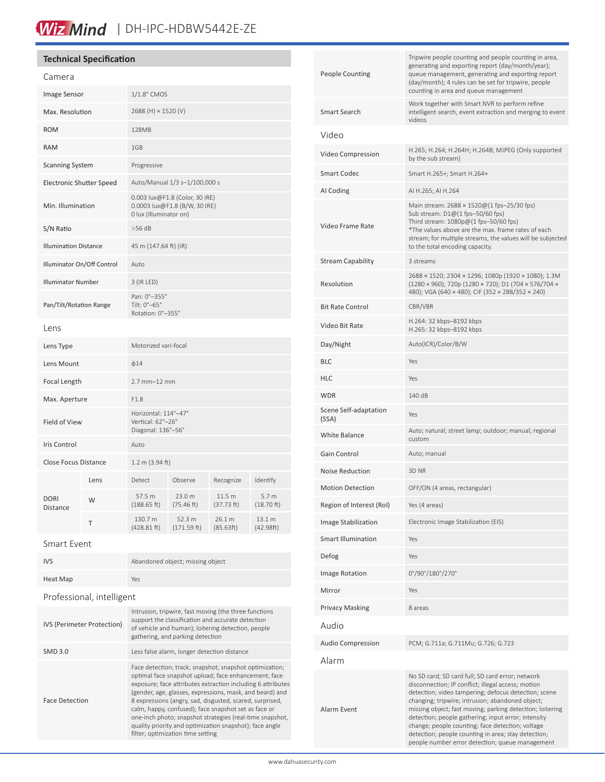## Wiz Mind | DH-IPC-HDBW5442E-ZE

#### **Technical Specification**

| Camera                          |      |                                                                                           |                       |                      |                                   |
|---------------------------------|------|-------------------------------------------------------------------------------------------|-----------------------|----------------------|-----------------------------------|
| Image Sensor                    |      | 1/1.8" CMOS                                                                               |                       |                      |                                   |
| Max. Resolution                 |      | 2688 (H) × 1520 (V)                                                                       |                       |                      |                                   |
| <b>ROM</b>                      |      | 128MB                                                                                     |                       |                      |                                   |
| <b>RAM</b>                      |      | 1GB                                                                                       |                       |                      |                                   |
| <b>Scanning System</b>          |      | Progressive                                                                               |                       |                      |                                   |
| <b>Electronic Shutter Speed</b> |      | Auto/Manual 1/3 s-1/100,000 s                                                             |                       |                      |                                   |
| Min. Illumination               |      | 0.003 lux@F1.8 (Color, 30 IRE)<br>0.0003 lux@F1.8 (B/W, 30 IRE)<br>0 lux (Illuminator on) |                       |                      |                                   |
| S/N Ratio                       |      | $>56$ dB                                                                                  |                       |                      |                                   |
| <b>Illumination Distance</b>    |      | 45 m (147.64 ft) (IR)                                                                     |                       |                      |                                   |
| Illuminator On/Off Control      |      | Auto                                                                                      |                       |                      |                                   |
| <b>Illuminator Number</b>       |      | 3 (IR LED)                                                                                |                       |                      |                                   |
| Pan/Tilt/Rotation Range         |      | Pan: 0°-355°<br>Tilt: 0°-65°<br>Rotation: 0°-355°                                         |                       |                      |                                   |
| Lens                            |      |                                                                                           |                       |                      |                                   |
| Lens Type                       |      | Motorized vari-focal                                                                      |                       |                      |                                   |
| Lens Mount                      |      | $\phi$ 14                                                                                 |                       |                      |                                   |
| <b>Focal Length</b>             |      | $2.7$ mm $-12$ mm                                                                         |                       |                      |                                   |
| Max. Aperture                   |      | F1.8                                                                                      |                       |                      |                                   |
| <b>Field of View</b>            |      | Horizontal: 114°-47°<br>Vertical: 62°-26°<br>Diagonal: 136°-56°                           |                       |                      |                                   |
| <b>Iris Control</b>             |      | Auto                                                                                      |                       |                      |                                   |
| <b>Close Focus Distance</b>     |      | $1.2 \text{ m}$ (3.94 ft)                                                                 |                       |                      |                                   |
| <b>DORI</b><br><b>Distance</b>  | Lens | Detect                                                                                    | Observe               | Recognize            | Identify                          |
|                                 | W    | 57.5 m<br>(188.65 ft)                                                                     | 23.0 m<br>(75.46 ft)  | 11.5 m<br>(37.73 ft) | 5.7 <sub>m</sub><br>$(18.70)$ ft) |
|                                 | Τ    | 130.7 m<br>(428.81 ft)                                                                    | 52.3 m<br>(171.59 ft) | 26.1 m<br>(85.63ft)  | 13.1 m<br>(42.98ft)               |
| $Smart$ Event                   |      |                                                                                           |                       |                      |                                   |

| Smart Event |  |
|-------------|--|
|             |  |

| <b>IVS</b>                 | Abandoned object; missing object                                                                                                                                                                                                                                                                                                                                                                                                                                                                                           |  |  |  |
|----------------------------|----------------------------------------------------------------------------------------------------------------------------------------------------------------------------------------------------------------------------------------------------------------------------------------------------------------------------------------------------------------------------------------------------------------------------------------------------------------------------------------------------------------------------|--|--|--|
| <b>Heat Map</b>            | Yes                                                                                                                                                                                                                                                                                                                                                                                                                                                                                                                        |  |  |  |
| Professional, intelligent  |                                                                                                                                                                                                                                                                                                                                                                                                                                                                                                                            |  |  |  |
| IVS (Perimeter Protection) | Intrusion, tripwire, fast moving (the three functions<br>support the classification and accurate detection<br>of vehicle and human); loitering detection, people<br>gathering, and parking detection                                                                                                                                                                                                                                                                                                                       |  |  |  |
| <b>SMD 3.0</b>             | Less false alarm, longer detection distance                                                                                                                                                                                                                                                                                                                                                                                                                                                                                |  |  |  |
| <b>Face Detection</b>      | Face detection; track; snapshot; snapshot optimization;<br>optimal face snapshot upload; face enhancement; face<br>exposure; face attributes extraction including 6 attributes<br>(gender, age, glasses, expressions, mask, and beard) and<br>8 expressions (angry, sad, disgusted, scared, surprised,<br>calm, happy, confused); face snapshot set as face or<br>one-inch photo; snapshot strategies (real-time snapshot,<br>quality priority and optimization snapshot); face angle<br>filter; optimization time setting |  |  |  |

| <b>People Counting</b>         | Tripwire people counting and people counting in area,<br>generating and exporting report (day/month/year);<br>queue management, generating and exporting report<br>(day/month); 4 rules can be set for tripwire, people<br>counting in area and queue management                                                                                                                                                                                                                                     |
|--------------------------------|------------------------------------------------------------------------------------------------------------------------------------------------------------------------------------------------------------------------------------------------------------------------------------------------------------------------------------------------------------------------------------------------------------------------------------------------------------------------------------------------------|
| Smart Search                   | Work together with Smart NVR to perform refine<br>intelligent search, event extraction and merging to event<br>videos                                                                                                                                                                                                                                                                                                                                                                                |
| Video                          |                                                                                                                                                                                                                                                                                                                                                                                                                                                                                                      |
| Video Compression              | H.265; H.264; H.264H; H.264B; MJPEG (Only supported<br>by the sub stream)                                                                                                                                                                                                                                                                                                                                                                                                                            |
| <b>Smart Codec</b>             | Smart H.265+; Smart H.264+                                                                                                                                                                                                                                                                                                                                                                                                                                                                           |
| Al Coding                      | AI H.265; AI H.264                                                                                                                                                                                                                                                                                                                                                                                                                                                                                   |
| Video Frame Rate               | Main stream: 2688 × 1520@(1 fps-25/30 fps)<br>Sub stream: D1@(1 fps-50/60 fps)<br>Third stream: $1080p@(1$ fps-50/60 fps)<br>*The values above are the max. frame rates of each<br>stream; for multiple streams, the values will be subjected<br>to the total encoding capacity.                                                                                                                                                                                                                     |
| <b>Stream Capability</b>       | 3 streams                                                                                                                                                                                                                                                                                                                                                                                                                                                                                            |
| Resolution                     | 2688 × 1520; 2304 × 1296; 1080p (1920 × 1080); 1.3M<br>(1280 × 960); 720p (1280 × 720); D1 (704 × 576/704 ×<br>480); VGA (640 × 480); CIF (352 × 288/352 × 240)                                                                                                                                                                                                                                                                                                                                      |
| <b>Bit Rate Control</b>        | CBR/VBR                                                                                                                                                                                                                                                                                                                                                                                                                                                                                              |
| Video Bit Rate                 | H.264: 32 kbps-8192 kbps<br>H.265: 32 kbps-8192 kbps                                                                                                                                                                                                                                                                                                                                                                                                                                                 |
| Day/Night                      | Auto(ICR)/Color/B/W                                                                                                                                                                                                                                                                                                                                                                                                                                                                                  |
| <b>BLC</b>                     | Yes                                                                                                                                                                                                                                                                                                                                                                                                                                                                                                  |
| HLC                            | Yes                                                                                                                                                                                                                                                                                                                                                                                                                                                                                                  |
| <b>WDR</b>                     | 140 dB                                                                                                                                                                                                                                                                                                                                                                                                                                                                                               |
| Scene Self-adaptation<br>(SSA) | Yes                                                                                                                                                                                                                                                                                                                                                                                                                                                                                                  |
| White Balance                  | Auto; natural; street lamp; outdoor; manual; regional<br>custom                                                                                                                                                                                                                                                                                                                                                                                                                                      |
| Gain Control                   | Auto; manual                                                                                                                                                                                                                                                                                                                                                                                                                                                                                         |
| <b>Noise Reduction</b>         | 3D NR                                                                                                                                                                                                                                                                                                                                                                                                                                                                                                |
| <b>Motion Detection</b>        | OFF/ON (4 areas, rectangular)                                                                                                                                                                                                                                                                                                                                                                                                                                                                        |
| Region of Interest (RoI)       | Yes (4 areas)                                                                                                                                                                                                                                                                                                                                                                                                                                                                                        |
| Image Stabilization            | Electronic Image Stabilization (EIS)                                                                                                                                                                                                                                                                                                                                                                                                                                                                 |
| Smart Illumination             | Yes                                                                                                                                                                                                                                                                                                                                                                                                                                                                                                  |
| Defog                          | Yes                                                                                                                                                                                                                                                                                                                                                                                                                                                                                                  |
| <b>Image Rotation</b>          | 0°/90°/180°/270°                                                                                                                                                                                                                                                                                                                                                                                                                                                                                     |
| Mirror                         | Yes                                                                                                                                                                                                                                                                                                                                                                                                                                                                                                  |
| <b>Privacy Masking</b>         | 8 areas                                                                                                                                                                                                                                                                                                                                                                                                                                                                                              |
| Audio                          |                                                                                                                                                                                                                                                                                                                                                                                                                                                                                                      |
| <b>Audio Compression</b>       | PCM; G.711a; G.711Mu; G.726; G.723                                                                                                                                                                                                                                                                                                                                                                                                                                                                   |
| Alarm                          |                                                                                                                                                                                                                                                                                                                                                                                                                                                                                                      |
| Alarm Event                    | No SD card; SD card full; SD card error; network<br>disconnection; IP conflict; illegal access; motion<br>detection; video tampering; defocus detection; scene<br>changing; tripwire; intrusion; abandoned object;<br>missing object; fast moving; parking detection; loitering<br>detection; people gathering; input error; intensity<br>change; people counting; face detection; voltage<br>detection; people counting in area; stay detection;<br>people number error detection; queue management |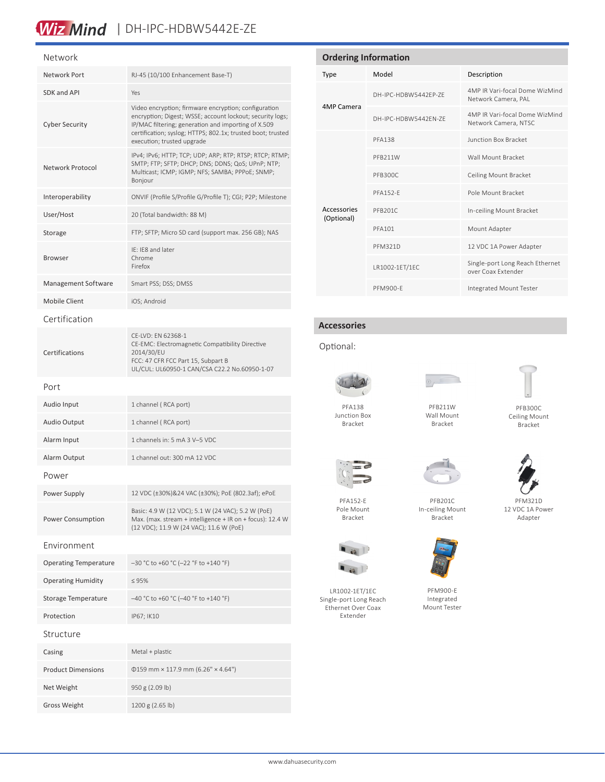## Wiz Mind | DH-IPC-HDBW5442E-ZE

# Network

| Network Port                 | RJ-45 (10/100 Enhancement Base-T)                                                                                                                                                                                                                                     |
|------------------------------|-----------------------------------------------------------------------------------------------------------------------------------------------------------------------------------------------------------------------------------------------------------------------|
| SDK and API                  | Yes                                                                                                                                                                                                                                                                   |
| <b>Cyber Security</b>        | Video encryption; firmware encryption; configuration<br>encryption; Digest; WSSE; account lockout; security logs;<br>IP/MAC filtering; generation and importing of X.509<br>certification; syslog; HTTPS; 802.1x; trusted boot; trusted<br>execution; trusted upgrade |
| Network Protocol             | IPv4; IPv6; HTTP; TCP; UDP; ARP; RTP; RTSP; RTCP; RTMP;<br>SMTP; FTP; SFTP; DHCP; DNS; DDNS; QoS; UPnP; NTP;<br>Multicast; ICMP; IGMP; NFS; SAMBA; PPPoE; SNMP;<br>Bonjour                                                                                            |
| Interoperability             | ONVIF (Profile S/Profile G/Profile T); CGI; P2P; Milestone                                                                                                                                                                                                            |
| User/Host                    | 20 (Total bandwidth: 88 M)                                                                                                                                                                                                                                            |
| Storage                      | FTP; SFTP; Micro SD card (support max. 256 GB); NAS                                                                                                                                                                                                                   |
| <b>Browser</b>               | IE: IE8 and later<br>Chrome<br>Firefox                                                                                                                                                                                                                                |
| Management Software          | Smart PSS; DSS; DMSS                                                                                                                                                                                                                                                  |
| Mobile Client                | iOS; Android                                                                                                                                                                                                                                                          |
| Certification                |                                                                                                                                                                                                                                                                       |
| Certifications               | CE-LVD: EN 62368-1<br>CE-EMC: Electromagnetic Compatibility Directive<br>2014/30/EU<br>FCC: 47 CFR FCC Part 15, Subpart B<br>UL/CUL: UL60950-1 CAN/CSA C22.2 No.60950-1-07                                                                                            |
| Port                         |                                                                                                                                                                                                                                                                       |
| Audio Input                  | 1 channel (RCA port)                                                                                                                                                                                                                                                  |
| Audio Output                 | 1 channel (RCA port)                                                                                                                                                                                                                                                  |
| Alarm Input                  | 1 channels in: 5 mA 3 V-5 VDC                                                                                                                                                                                                                                         |
| Alarm Output                 | 1 channel out: 300 mA 12 VDC                                                                                                                                                                                                                                          |
| Power                        |                                                                                                                                                                                                                                                                       |
| Power Supply                 | 12 VDC (±30%)&24 VAC (±30%); PoE (802.3af); ePoE                                                                                                                                                                                                                      |
| Power Consumption            | Basic: 4.9 W (12 VDC); 5.1 W (24 VAC); 5.2 W (PoE)<br>Max. (max. stream + intelligence + IR on + focus): 12.4 W<br>(12 VDC); 11.9 W (24 VAC); 11.6 W (PoE)                                                                                                            |
| Environment                  |                                                                                                                                                                                                                                                                       |
| <b>Operating Temperature</b> | -30 °C to +60 °C (-22 °F to +140 °F)                                                                                                                                                                                                                                  |
| <b>Operating Humidity</b>    | $\leq 95\%$                                                                                                                                                                                                                                                           |
| <b>Storage Temperature</b>   | -40 °C to +60 °C (-40 °F to +140 °F)                                                                                                                                                                                                                                  |
| Protection                   | IP67; IK10                                                                                                                                                                                                                                                            |
| Structure                    |                                                                                                                                                                                                                                                                       |
| Casing                       | Metal + plastic                                                                                                                                                                                                                                                       |
| <b>Product Dimensions</b>    | $\Phi$ 159 mm × 117.9 mm (6.26" × 4.64")                                                                                                                                                                                                                              |
| Net Weight                   | 950 g (2.09 lb)                                                                                                                                                                                                                                                       |
| <b>Gross Weight</b>          | 1200 g (2.65 lb)                                                                                                                                                                                                                                                      |

#### **Ordering Information** Type Model Description 4MP Camera DH-IPC-HDBW5442EP-ZE 4MP IR Vari-focal Dome WizMind Network Camera, PAL DH-IPC-HDBW5442EN-ZE 4MP IR Vari-focal Dome WizMind Network Camera, NTSC Accessories (Optional) PFA138 Junction Box Bracket PFB211W Wall Mount Bracket PFB300C Ceiling Mount Bracket PFA152-E POle Mount Bracket PFB201C In-ceiling Mount Bracket PFA101 Mount Adapter PFM321D 12 VDC 1A Power Adapter LR1002-1ET/1EC Single-port Long Reach Ethernet over Coax Extender

#### **Accessories**

#### Optional:



Junction Box Bracket

PFA152-E Pole Mount Bracket

LR1002-1ET/1EC Single-port Long Reach Ethernet Over Coax Extender

 $\blacksquare$ 



PFB211W Wall Mount Bracket

PFM900-E Integrated Mount Tester

PFB300C Ceiling Mount Bracket



PFB201C In-ceiling Mount Bracket



PFM900-E Integrated Mount Tester



PFM321D 12 VDC 1A Power Adapter